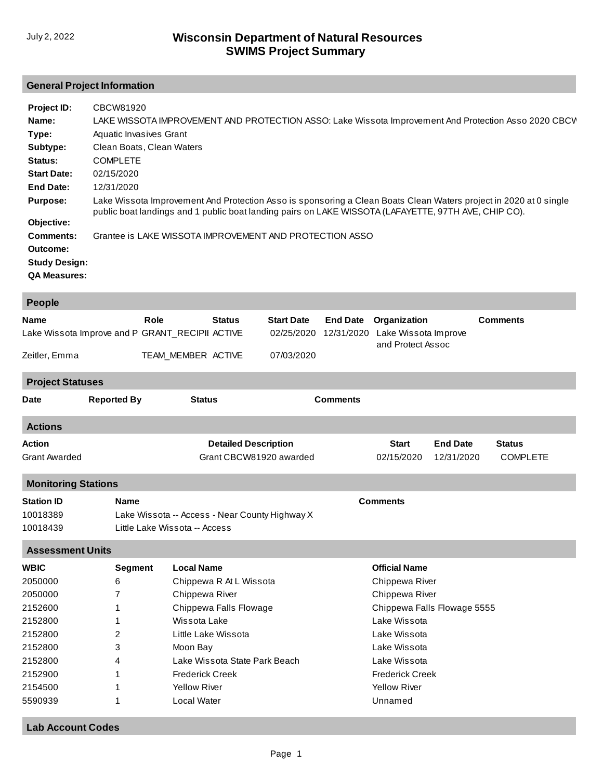## **General Project Information**

| Project ID:          | CBCW81920                                                                                                                                                                                                                 |
|----------------------|---------------------------------------------------------------------------------------------------------------------------------------------------------------------------------------------------------------------------|
| Name:                | LAKE WISSOTA IMPROVEMENT AND PROTECTION ASSO: Lake Wissota Improvement And Protection Asso 2020 CBCV                                                                                                                      |
| Type:                | Aquatic Invasives Grant                                                                                                                                                                                                   |
| Subtype:             | Clean Boats, Clean Waters                                                                                                                                                                                                 |
| Status:              | <b>COMPLETE</b>                                                                                                                                                                                                           |
| <b>Start Date:</b>   | 02/15/2020                                                                                                                                                                                                                |
| End Date:            | 12/31/2020                                                                                                                                                                                                                |
| <b>Purpose:</b>      | Lake Wissota Improvement And Protection Asso is sponsoring a Clean Boats Clean Waters project in 2020 at 0 single<br>public boat landings and 1 public boat landing pairs on LAKE WISSOTA (LAFAYETTE, 97TH AVE, CHIP CO). |
| Objective:           |                                                                                                                                                                                                                           |
| Comments:            | Grantee is LAKE WISSOTA IMPROVEMENT AND PROTECTION ASSO                                                                                                                                                                   |
| Outcome:             |                                                                                                                                                                                                                           |
| <b>Study Design:</b> |                                                                                                                                                                                                                           |
| <b>QA Measures:</b>  |                                                                                                                                                                                                                           |

| <b>People</b>                         |                                                         |                                                |                                                        |                                 |                               |                                      |                               |                                  |
|---------------------------------------|---------------------------------------------------------|------------------------------------------------|--------------------------------------------------------|---------------------------------|-------------------------------|--------------------------------------|-------------------------------|----------------------------------|
| Name                                  | Role<br>Lake Wissota Improve and P GRANT_RECIPII ACTIVE |                                                | <b>Status</b>                                          | <b>Start Date</b><br>02/25/2020 | <b>End Date</b><br>12/31/2020 | Organization<br>Lake Wissota Improve |                               | <b>Comments</b>                  |
| Zeitler, Emma                         |                                                         |                                                | TEAM_MEMBER ACTIVE<br>07/03/2020                       |                                 |                               | and Protect Assoc                    |                               |                                  |
| <b>Project Statuses</b>               |                                                         |                                                |                                                        |                                 |                               |                                      |                               |                                  |
| <b>Date</b>                           | <b>Reported By</b>                                      |                                                | <b>Status</b>                                          |                                 | <b>Comments</b>               |                                      |                               |                                  |
| <b>Actions</b>                        |                                                         |                                                |                                                        |                                 |                               |                                      |                               |                                  |
| <b>Action</b><br><b>Grant Awarded</b> |                                                         |                                                | <b>Detailed Description</b><br>Grant CBCW81920 awarded |                                 |                               | <b>Start</b><br>02/15/2020           | <b>End Date</b><br>12/31/2020 | <b>Status</b><br><b>COMPLETE</b> |
| <b>Monitoring Stations</b>            |                                                         |                                                |                                                        |                                 |                               |                                      |                               |                                  |
| <b>Station ID</b>                     | <b>Name</b>                                             |                                                |                                                        |                                 | <b>Comments</b>               |                                      |                               |                                  |
| 10018389                              |                                                         | Lake Wissota -- Access - Near County Highway X |                                                        |                                 |                               |                                      |                               |                                  |
| 10018439                              |                                                         | Little Lake Wissota -- Access                  |                                                        |                                 |                               |                                      |                               |                                  |
| <b>Assessment Units</b>               |                                                         |                                                |                                                        |                                 |                               |                                      |                               |                                  |
| <b>WBIC</b>                           | <b>Segment</b>                                          | <b>Local Name</b>                              |                                                        |                                 |                               | <b>Official Name</b>                 |                               |                                  |
| 2050000                               | 6                                                       |                                                | Chippewa R At L Wissota                                |                                 |                               | Chippewa River                       |                               |                                  |
| 2050000                               | 7                                                       |                                                | Chippewa River                                         |                                 |                               | Chippewa River                       |                               |                                  |
| 2152600                               |                                                         |                                                | Chippewa Falls Flowage                                 |                                 |                               | Chippewa Falls Flowage 5555          |                               |                                  |
| 2152800                               | 1                                                       |                                                | Wissota Lake                                           |                                 |                               | Lake Wissota                         |                               |                                  |
| 2152800                               | 2                                                       |                                                | Little Lake Wissota                                    |                                 |                               | Lake Wissota                         |                               |                                  |
| 2152800                               | 3                                                       |                                                | Moon Bay                                               |                                 |                               | Lake Wissota                         |                               |                                  |
| 2152800                               | 4                                                       |                                                | Lake Wissota State Park Beach                          |                                 |                               | Lake Wissota                         |                               |                                  |
| 2152900                               | 1                                                       |                                                | <b>Frederick Creek</b>                                 |                                 |                               | <b>Frederick Creek</b>               |                               |                                  |
| 2154500                               | 1                                                       |                                                | <b>Yellow River</b>                                    |                                 |                               | <b>Yellow River</b>                  |                               |                                  |
| 5590939                               | Local Water<br>1                                        |                                                |                                                        |                                 | Unnamed                       |                                      |                               |                                  |
|                                       |                                                         |                                                |                                                        |                                 |                               |                                      |                               |                                  |

**Lab Account Codes**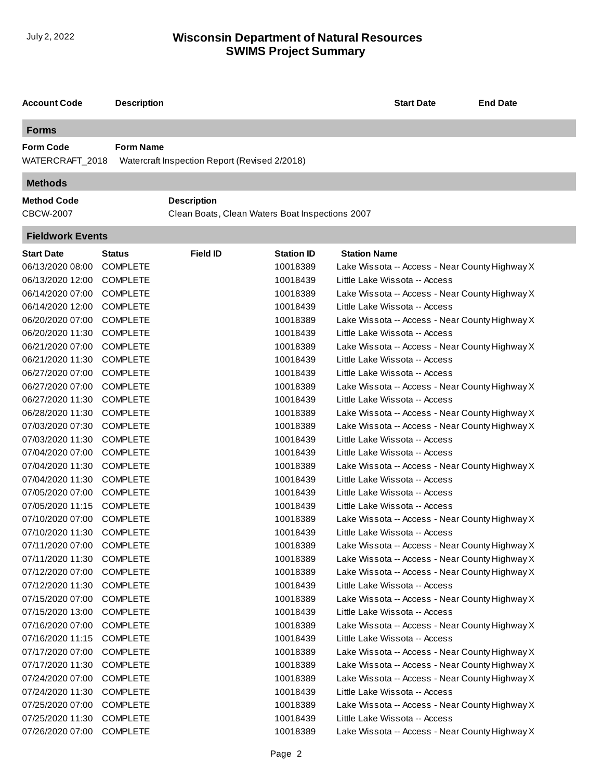## **SWIMS Project Summary** July 2, 2022 **Wisconsin Department of Natural Resources**

| <b>Account Code</b>                 | <b>Description</b> |                                                 |                   | <b>Start Date</b>                              | <b>End Date</b> |  |  |  |
|-------------------------------------|--------------------|-------------------------------------------------|-------------------|------------------------------------------------|-----------------|--|--|--|
| <b>Forms</b>                        |                    |                                                 |                   |                                                |                 |  |  |  |
| <b>Form Code</b><br>WATERCRAFT_2018 | <b>Form Name</b>   | Watercraft Inspection Report (Revised 2/2018)   |                   |                                                |                 |  |  |  |
| <b>Methods</b>                      |                    |                                                 |                   |                                                |                 |  |  |  |
| <b>Method Code</b>                  |                    | <b>Description</b>                              |                   |                                                |                 |  |  |  |
| <b>CBCW-2007</b>                    |                    | Clean Boats, Clean Waters Boat Inspections 2007 |                   |                                                |                 |  |  |  |
| <b>Fieldwork Events</b>             |                    |                                                 |                   |                                                |                 |  |  |  |
| <b>Start Date</b>                   | Status             | <b>Field ID</b>                                 | <b>Station ID</b> | <b>Station Name</b>                            |                 |  |  |  |
| 06/13/2020 08:00                    | <b>COMPLETE</b>    |                                                 | 10018389          | Lake Wissota -- Access - Near County Highway X |                 |  |  |  |
| 06/13/2020 12:00                    | <b>COMPLETE</b>    |                                                 | 10018439          | Little Lake Wissota -- Access                  |                 |  |  |  |
| 06/14/2020 07:00                    | <b>COMPLETE</b>    |                                                 | 10018389          | Lake Wissota -- Access - Near County Highway X |                 |  |  |  |
| 06/14/2020 12:00                    | <b>COMPLETE</b>    |                                                 | 10018439          | Little Lake Wissota -- Access                  |                 |  |  |  |
| 06/20/2020 07:00                    | <b>COMPLETE</b>    |                                                 | 10018389          | Lake Wissota -- Access - Near County Highway X |                 |  |  |  |
| 06/20/2020 11:30                    | <b>COMPLETE</b>    |                                                 | 10018439          | Little Lake Wissota -- Access                  |                 |  |  |  |
| 06/21/2020 07:00                    | <b>COMPLETE</b>    |                                                 | 10018389          | Lake Wissota -- Access - Near County Highway X |                 |  |  |  |
| 06/21/2020 11:30                    | <b>COMPLETE</b>    |                                                 | 10018439          | Little Lake Wissota -- Access                  |                 |  |  |  |
| 06/27/2020 07:00                    | <b>COMPLETE</b>    |                                                 | 10018439          | Little Lake Wissota -- Access                  |                 |  |  |  |
| 06/27/2020 07:00                    | <b>COMPLETE</b>    |                                                 | 10018389          | Lake Wissota -- Access - Near County Highway X |                 |  |  |  |
| 06/27/2020 11:30                    | <b>COMPLETE</b>    |                                                 | 10018439          | Little Lake Wissota -- Access                  |                 |  |  |  |
| 06/28/2020 11:30                    | <b>COMPLETE</b>    |                                                 | 10018389          | Lake Wissota -- Access - Near County Highway X |                 |  |  |  |
| 07/03/2020 07:30                    | <b>COMPLETE</b>    |                                                 | 10018389          | Lake Wissota -- Access - Near County Highway X |                 |  |  |  |
| 07/03/2020 11:30                    | <b>COMPLETE</b>    |                                                 | 10018439          | Little Lake Wissota -- Access                  |                 |  |  |  |
| 07/04/2020 07:00                    | <b>COMPLETE</b>    |                                                 | 10018439          | Little Lake Wissota -- Access                  |                 |  |  |  |
| 07/04/2020 11:30                    | <b>COMPLETE</b>    |                                                 | 10018389          | Lake Wissota -- Access - Near County Highway X |                 |  |  |  |
| 07/04/2020 11:30                    | <b>COMPLETE</b>    |                                                 | 10018439          | Little Lake Wissota -- Access                  |                 |  |  |  |
| 07/05/2020 07:00                    | <b>COMPLETE</b>    |                                                 | 10018439          | Little Lake Wissota -- Access                  |                 |  |  |  |
| 07/05/2020 11:15                    | <b>COMPLETE</b>    |                                                 | 10018439          | Little Lake Wissota -- Access                  |                 |  |  |  |
| 07/10/2020 07:00                    | <b>COMPLETE</b>    |                                                 | 10018389          | Lake Wissota -- Access - Near County Highway X |                 |  |  |  |
| 07/10/2020 11:30 COMPLETE           |                    |                                                 | 10018439          | Little Lake Wissota -- Access                  |                 |  |  |  |
| 07/11/2020 07:00                    | <b>COMPLETE</b>    |                                                 | 10018389          | Lake Wissota -- Access - Near County Highway X |                 |  |  |  |
| 07/11/2020 11:30                    | <b>COMPLETE</b>    |                                                 | 10018389          | Lake Wissota -- Access - Near County Highway X |                 |  |  |  |
| 07/12/2020 07:00                    | <b>COMPLETE</b>    |                                                 | 10018389          | Lake Wissota -- Access - Near County Highway X |                 |  |  |  |
| 07/12/2020 11:30                    | <b>COMPLETE</b>    |                                                 | 10018439          | Little Lake Wissota -- Access                  |                 |  |  |  |
| 07/15/2020 07:00                    | <b>COMPLETE</b>    |                                                 | 10018389          | Lake Wissota -- Access - Near County Highway X |                 |  |  |  |
| 07/15/2020 13:00                    | <b>COMPLETE</b>    |                                                 | 10018439          | Little Lake Wissota -- Access                  |                 |  |  |  |
| 07/16/2020 07:00                    | <b>COMPLETE</b>    |                                                 | 10018389          | Lake Wissota -- Access - Near County Highway X |                 |  |  |  |
| 07/16/2020 11:15                    | <b>COMPLETE</b>    |                                                 | 10018439          | Little Lake Wissota -- Access                  |                 |  |  |  |
| 07/17/2020 07:00                    | <b>COMPLETE</b>    |                                                 | 10018389          | Lake Wissota -- Access - Near County Highway X |                 |  |  |  |
| 07/17/2020 11:30                    | <b>COMPLETE</b>    |                                                 | 10018389          | Lake Wissota -- Access - Near County Highway X |                 |  |  |  |
| 07/24/2020 07:00                    | <b>COMPLETE</b>    |                                                 | 10018389          | Lake Wissota -- Access - Near County Highway X |                 |  |  |  |
| 07/24/2020 11:30                    | <b>COMPLETE</b>    |                                                 | 10018439          | Little Lake Wissota -- Access                  |                 |  |  |  |
| 07/25/2020 07:00                    | <b>COMPLETE</b>    |                                                 | 10018389          | Lake Wissota -- Access - Near County Highway X |                 |  |  |  |
| 07/25/2020 11:30                    | <b>COMPLETE</b>    |                                                 | 10018439          | Little Lake Wissota -- Access                  |                 |  |  |  |
| 07/26/2020 07:00                    | <b>COMPLETE</b>    |                                                 | 10018389          | Lake Wissota -- Access - Near County Highway X |                 |  |  |  |